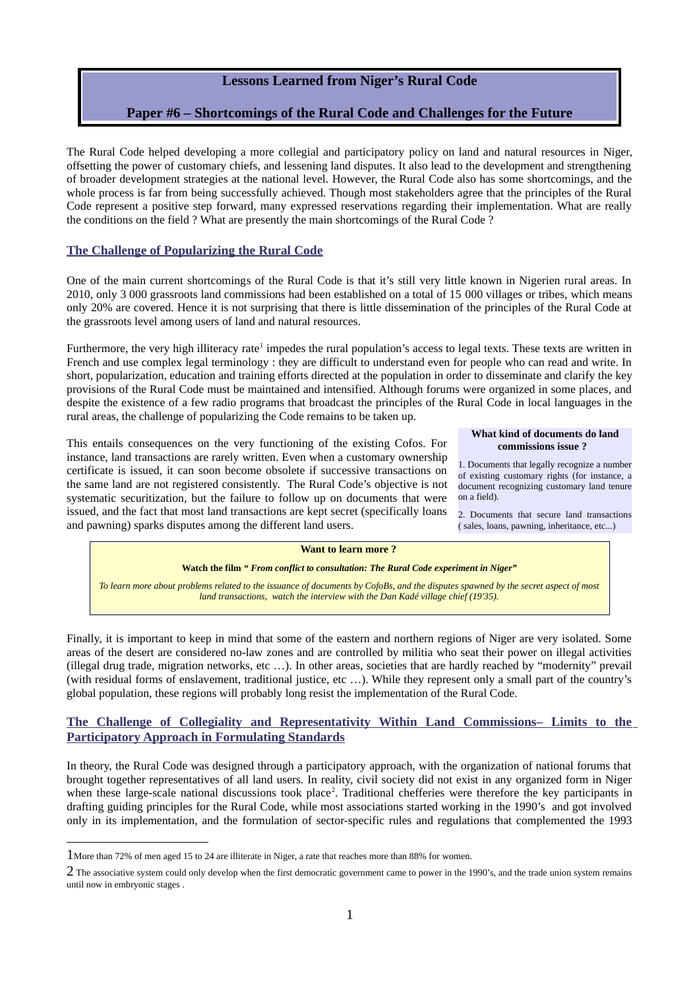## **Lessons Learned from Niger's Rural Code**

# **Paper #6 – Shortcomings of the Rural Code and Challenges for the Future**

The Rural Code helped developing a more collegial and participatory policy on land and natural resources in Niger, offsetting the power of customary chiefs, and lessening land disputes. It also lead to the development and strengthening of broader development strategies at the national level. However, the Rural Code also has some shortcomings, and the whole process is far from being successfully achieved. Though most stakeholders agree that the principles of the Rural Code represent a positive step forward, many expressed reservations regarding their implementation. What are really the conditions on the field ? What are presently the main shortcomings of the Rural Code ?

## **The Challenge of Popularizing the Rural Code**

One of the main current shortcomings of the Rural Code is that it's still very little known in Nigerien rural areas. In 2010, only 3 000 grassroots land commissions had been established on a total of 15 000 villages or tribes, which means only 20% are covered. Hence it is not surprising that there is little dissemination of the principles of the Rural Code at the grassroots level among users of land and natural resources.

Furthermore, the very high illiteracy rate<sup>[1](#page-0-0)</sup> impedes the rural population's access to legal texts. These texts are written in French and use complex legal terminology : they are difficult to understand even for people who can read and write. In short, popularization, education and training efforts directed at the population in order to disseminate and clarify the key provisions of the Rural Code must be maintained and intensified. Although forums were organized in some places, and despite the existence of a few radio programs that broadcast the principles of the Rural Code in local languages in the rural areas, the challenge of popularizing the Code remains to be taken up.

This entails consequences on the very functioning of the existing Cofos. For instance, land transactions are rarely written. Even when a customary ownership certificate is issued, it can soon become obsolete if successive transactions on the same land are not registered consistently. The Rural Code's objective is not systematic securitization, but the failure to follow up on documents that were issued, and the fact that most land transactions are kept secret (specifically loans and pawning) sparks disputes among the different land users.

#### **What kind of documents do land commissions issue ?**

1. Documents that legally recognize a number of existing customary rights (for instance, a document recognizing customary land tenure on a field).

2. Documents that secure land transactions ( sales, loans, pawning, inheritance, etc...)

#### **Want to learn more ?**

#### **Watch the film** *" From conflict to consultation: The Rural Code experiment in Niger"*

*To learn more about problems related to the issuance of documents by CofoBs, and the disputes spawned by the secret aspect of most land transactions, watch the interview with the Dan Kadé village chief (19'35).*

Finally, it is important to keep in mind that some of the eastern and northern regions of Niger are very isolated. Some areas of the desert are considered no-law zones and are controlled by militia who seat their power on illegal activities (illegal drug trade, migration networks, etc …). In other areas, societies that are hardly reached by "modernity" prevail (with residual forms of enslavement, traditional justice, etc …). While they represent only a small part of the country's global population, these regions will probably long resist the implementation of the Rural Code.

### The Challenge of Collegiality and Representativity Within Land Commissions- Limits to the **Participatory Approach in Formulating Standards**

In theory, the Rural Code was designed through a participatory approach, with the organization of national forums that brought together representatives of all land users. In reality, civil society did not exist in any organized form in Niger when these large-scale national discussions took place<sup>[2](#page-0-1)</sup>. Traditional chefferies were therefore the key participants in drafting guiding principles for the Rural Code, while most associations started working in the 1990's and got involved only in its implementation, and the formulation of sector-specific rules and regulations that complemented the 1993

<span id="page-0-0"></span><sup>1</sup>More than 72% of men aged 15 to 24 are illiterate in Niger, a rate that reaches more than 88% for women.

<span id="page-0-1"></span><sup>2</sup> The associative system could only develop when the first democratic government came to power in the 1990's, and the trade union system remains until now in embryonic stages .